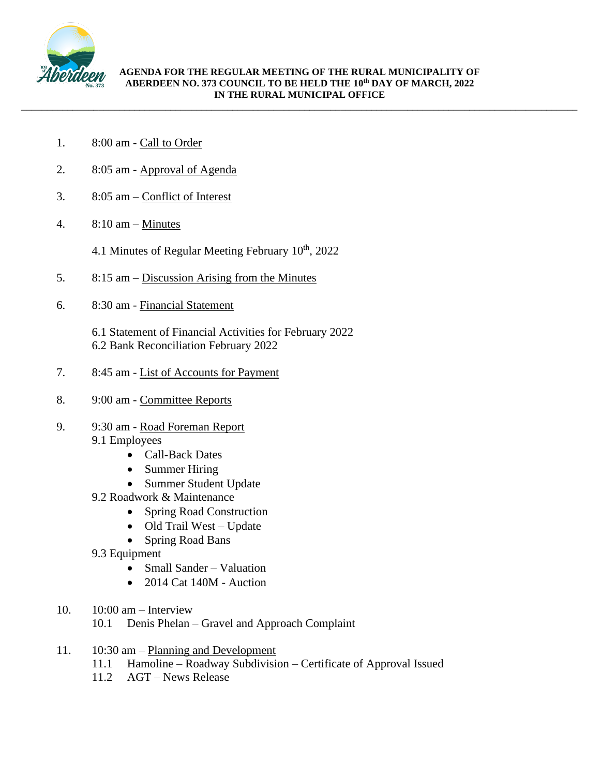

\_\_\_\_\_\_\_\_\_\_\_\_\_\_\_\_\_\_\_\_\_\_\_\_\_\_\_\_\_\_\_\_\_\_\_\_\_\_\_\_\_\_\_\_\_\_\_\_\_\_\_\_\_\_\_\_\_\_\_\_\_\_\_\_\_\_\_\_\_\_\_\_\_\_\_\_\_\_\_\_\_\_\_\_\_\_\_\_\_\_\_\_\_\_\_\_\_\_\_\_\_\_\_\_\_\_\_\_

- 1. 8:00 am Call to Order
- 2. 8:05 am Approval of Agenda
- 3. 8:05 am Conflict of Interest
- 4. 8:10 am Minutes

4.1 Minutes of Regular Meeting February  $10<sup>th</sup>$ , 2022

- 5. 8:15 am Discussion Arising from the Minutes
- 6. 8:30 am Financial Statement
	- 6.1 Statement of Financial Activities for February 2022 6.2 Bank Reconciliation February 2022
- 7. 8:45 am List of Accounts for Payment
- 8. 9:00 am Committee Reports
- 9. 9:30 am Road Foreman Report 9.1 Employees
	- Call-Back Dates
	- Summer Hiring
	- Summer Student Update
	- 9.2 Roadwork & Maintenance
		- Spring Road Construction
		- Old Trail West Update
		- Spring Road Bans
	- 9.3 Equipment
		- Small Sander Valuation
		- 2014 Cat  $140M$  Auction
- 10. 10:00 am Interview
	- 10.1 Denis Phelan Gravel and Approach Complaint
- 11. 10:30 am Planning and Development
	- 11.1 Hamoline Roadway Subdivision Certificate of Approval Issued
	- 11.2 AGT News Release